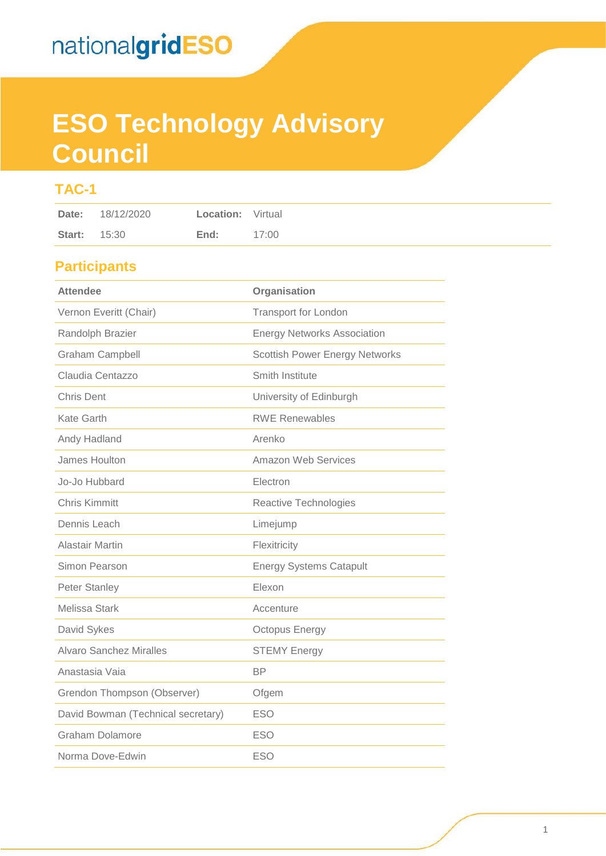# **ESO Technology Advisory Council**

## **TAC-1**

## **Participants**

| <b>Attendee</b>                    | Organisation                          |  |  |
|------------------------------------|---------------------------------------|--|--|
| Vernon Everitt (Chair)             | <b>Transport for London</b>           |  |  |
| Randolph Brazier                   | <b>Energy Networks Association</b>    |  |  |
| <b>Graham Campbell</b>             | <b>Scottish Power Energy Networks</b> |  |  |
| Claudia Centazzo                   | Smith Institute                       |  |  |
| <b>Chris Dent</b>                  | University of Edinburgh               |  |  |
| Kate Garth                         | <b>RWE Renewables</b>                 |  |  |
| Andy Hadland                       | Arenko                                |  |  |
| James Houlton                      | Amazon Web Services                   |  |  |
| Jo-Jo Hubbard                      | Electron                              |  |  |
| <b>Chris Kimmitt</b>               | Reactive Technologies                 |  |  |
| Dennis Leach                       | Limejump                              |  |  |
| <b>Alastair Martin</b>             | Flexitricity                          |  |  |
| Simon Pearson                      | <b>Energy Systems Catapult</b>        |  |  |
| <b>Peter Stanley</b>               | Elexon                                |  |  |
| Melissa Stark                      | Accenture                             |  |  |
| David Sykes                        | <b>Octopus Energy</b>                 |  |  |
| <b>Alvaro Sanchez Miralles</b>     | <b>STEMY Energy</b>                   |  |  |
| Anastasia Vaia                     | <b>BP</b>                             |  |  |
| Grendon Thompson (Observer)        | Ofgem                                 |  |  |
| David Bowman (Technical secretary) | <b>ESO</b>                            |  |  |
| <b>Graham Dolamore</b>             | <b>ESO</b>                            |  |  |
| Norma Dove-Edwin                   | <b>ESO</b>                            |  |  |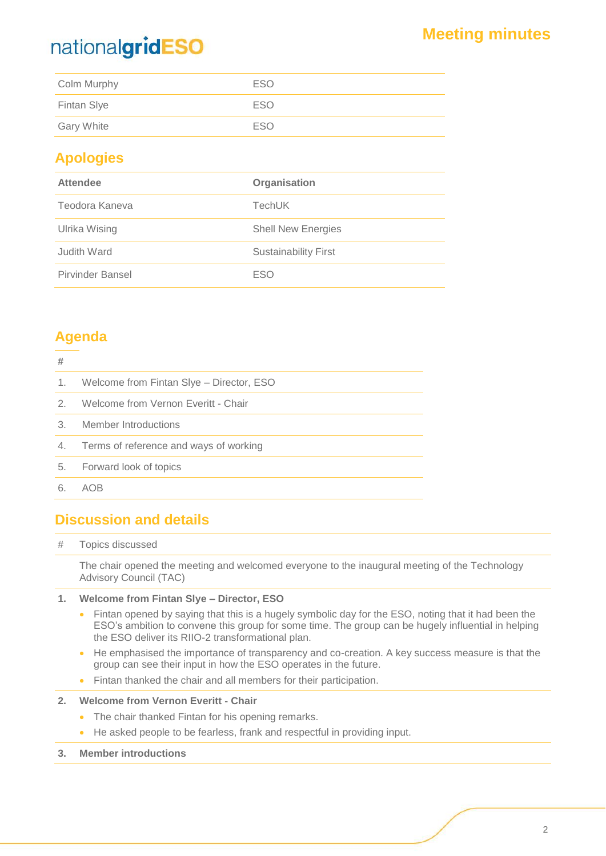## nationalgridESO

| Colm Murphy       | ESO |
|-------------------|-----|
| Fintan Slye       | ESO |
| <b>Gary White</b> | ESO |

### **Apologies**

| <b>Attendee</b>         | Organisation                |
|-------------------------|-----------------------------|
| Teodora Kaneva          | <b>TechUK</b>               |
| Ulrika Wising           | <b>Shell New Energies</b>   |
| Judith Ward             | <b>Sustainability First</b> |
| <b>Pirvinder Bansel</b> | <b>ESO</b>                  |

## **Agenda**

### **#**

| ₩             |                                          |
|---------------|------------------------------------------|
| 1.            | Welcome from Fintan Slye – Director, ESO |
| $\mathcal{P}$ | Welcome from Vernon Everitt - Chair      |
| 3.            | Member Introductions                     |
| 4.            | Terms of reference and ways of working   |
| 5.            | Forward look of topics                   |
| 6             |                                          |

### **Discussion and details**

### # Topics discussed

The chair opened the meeting and welcomed everyone to the inaugural meeting of the Technology Advisory Council (TAC)

### **1. Welcome from Fintan Slye – Director, ESO**

- Fintan opened by saying that this is a hugely symbolic day for the ESO, noting that it had been the ESO's ambition to convene this group for some time. The group can be hugely influential in helping the ESO deliver its RIIO-2 transformational plan.
- He emphasised the importance of transparency and co-creation. A key success measure is that the group can see their input in how the ESO operates in the future.
- Fintan thanked the chair and all members for their participation.

### **2. Welcome from Vernon Everitt - Chair**

- The chair thanked Fintan for his opening remarks.
- He asked people to be fearless, frank and respectful in providing input.
- **3. Member introductions**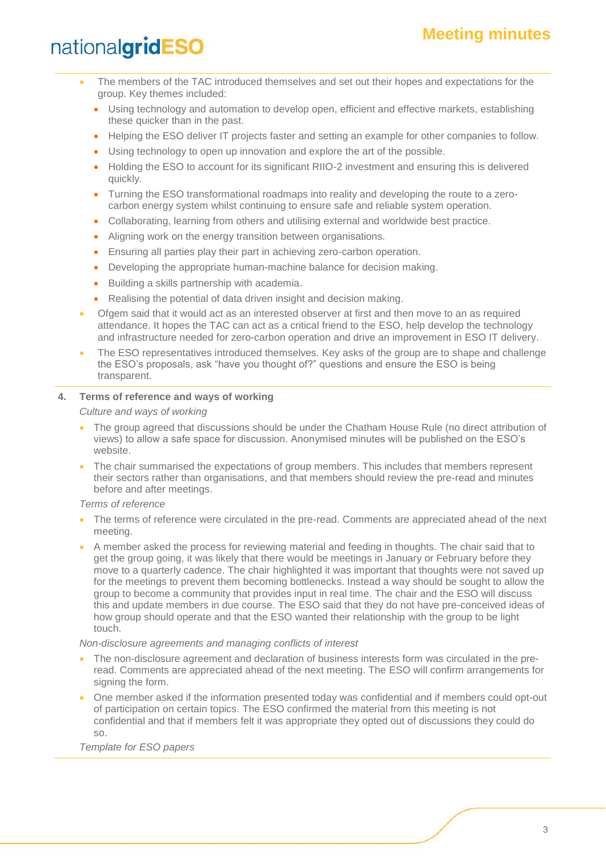## **Meeting minutes**

## nationalgridESO

- The members of the TAC introduced themselves and set out their hopes and expectations for the group. Key themes included:
	- Using technology and automation to develop open, efficient and effective markets, establishing these quicker than in the past.
	- Helping the ESO deliver IT projects faster and setting an example for other companies to follow.
	- Using technology to open up innovation and explore the art of the possible.
	- Holding the ESO to account for its significant RIIO-2 investment and ensuring this is delivered quickly.
	- Turning the ESO transformational roadmaps into reality and developing the route to a zerocarbon energy system whilst continuing to ensure safe and reliable system operation.
	- Collaborating, learning from others and utilising external and worldwide best practice.
	- Aligning work on the energy transition between organisations.
	- Ensuring all parties play their part in achieving zero-carbon operation.
	- Developing the appropriate human-machine balance for decision making.
	- Building a skills partnership with academia.
	- Realising the potential of data driven insight and decision making.
- Ofgem said that it would act as an interested observer at first and then move to an as required attendance. It hopes the TAC can act as a critical friend to the ESO, help develop the technology and infrastructure needed for zero-carbon operation and drive an improvement in ESO IT delivery.
- The ESO representatives introduced themselves. Key asks of the group are to shape and challenge the ESO's proposals, ask "have you thought of?" questions and ensure the ESO is being transparent.

#### **4. Terms of reference and ways of working**

*Culture and ways of working*

- The group agreed that discussions should be under the Chatham House Rule (no direct attribution of views) to allow a safe space for discussion. Anonymised minutes will be published on the ESO's website.
- The chair summarised the expectations of group members. This includes that members represent their sectors rather than organisations, and that members should review the pre-read and minutes before and after meetings.

*Terms of reference*

- The terms of reference were circulated in the pre-read. Comments are appreciated ahead of the next meeting.
- A member asked the process for reviewing material and feeding in thoughts. The chair said that to get the group going, it was likely that there would be meetings in January or February before they move to a quarterly cadence. The chair highlighted it was important that thoughts were not saved up for the meetings to prevent them becoming bottlenecks. Instead a way should be sought to allow the group to become a community that provides input in real time. The chair and the ESO will discuss this and update members in due course. The ESO said that they do not have pre-conceived ideas of how group should operate and that the ESO wanted their relationship with the group to be light touch.

#### *Non-disclosure agreements and managing conflicts of interest*

- The non-disclosure agreement and declaration of business interests form was circulated in the preread. Comments are appreciated ahead of the next meeting. The ESO will confirm arrangements for signing the form.
- One member asked if the information presented today was confidential and if members could opt-out of participation on certain topics. The ESO confirmed the material from this meeting is not confidential and that if members felt it was appropriate they opted out of discussions they could do so.

*Template for ESO papers*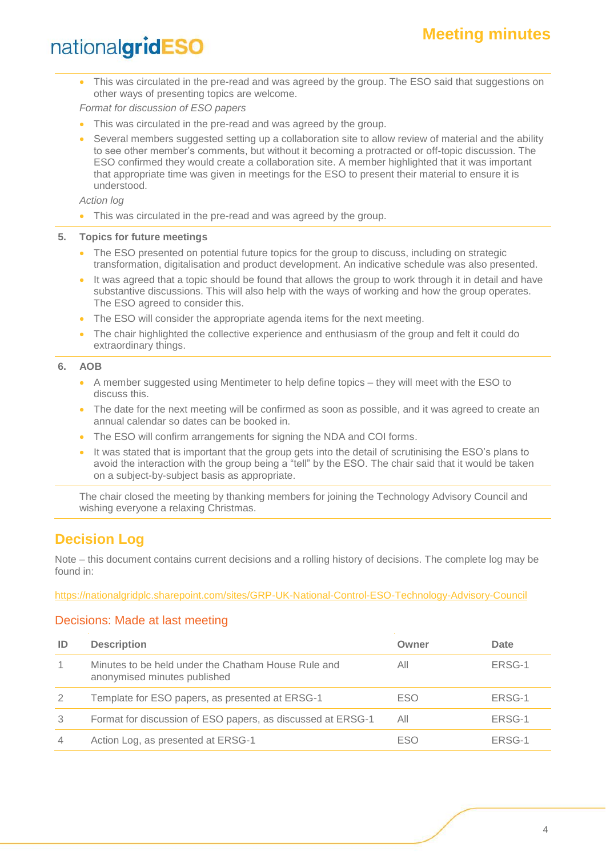## nationalgridESO

• This was circulated in the pre-read and was agreed by the group. The ESO said that suggestions on other ways of presenting topics are welcome.

*Format for discussion of ESO papers*

- This was circulated in the pre-read and was agreed by the group.
- Several members suggested setting up a collaboration site to allow review of material and the ability to see other member's comments, but without it becoming a protracted or off-topic discussion. The ESO confirmed they would create a collaboration site. A member highlighted that it was important that appropriate time was given in meetings for the ESO to present their material to ensure it is understood.

*Action log*

This was circulated in the pre-read and was agreed by the group.

**5. Topics for future meetings**

- The ESO presented on potential future topics for the group to discuss, including on strategic transformation, digitalisation and product development. An indicative schedule was also presented.
- It was agreed that a topic should be found that allows the group to work through it in detail and have substantive discussions. This will also help with the ways of working and how the group operates. The ESO agreed to consider this.
- The ESO will consider the appropriate agenda items for the next meeting.
- The chair highlighted the collective experience and enthusiasm of the group and felt it could do extraordinary things.

**6. AOB**

- A member suggested using Mentimeter to help define topics they will meet with the ESO to discuss this.
- The date for the next meeting will be confirmed as soon as possible, and it was agreed to create an annual calendar so dates can be booked in.
- The ESO will confirm arrangements for signing the NDA and COI forms.
- It was stated that is important that the group gets into the detail of scrutinising the ESO's plans to avoid the interaction with the group being a "tell" by the ESO. The chair said that it would be taken on a subject-by-subject basis as appropriate.

The chair closed the meeting by thanking members for joining the Technology Advisory Council and wishing everyone a relaxing Christmas.

### **Decision Log**

Note – this document contains current decisions and a rolling history of decisions. The complete log may be found in:

<https://nationalgridplc.sharepoint.com/sites/GRP-UK-National-Control-ESO-Technology-Advisory-Council>

### Decisions: Made at last meeting

| ID | <b>Description</b>                                                                  | Owner      | Date   |
|----|-------------------------------------------------------------------------------------|------------|--------|
|    | Minutes to be held under the Chatham House Rule and<br>anonymised minutes published | All        | ERSG-1 |
| 2  | Template for ESO papers, as presented at ERSG-1                                     | <b>ESO</b> | ERSG-1 |
| 3  | Format for discussion of ESO papers, as discussed at ERSG-1                         | All        | ERSG-1 |
| 4  | Action Log, as presented at ERSG-1                                                  | ESO        | ERSG-1 |